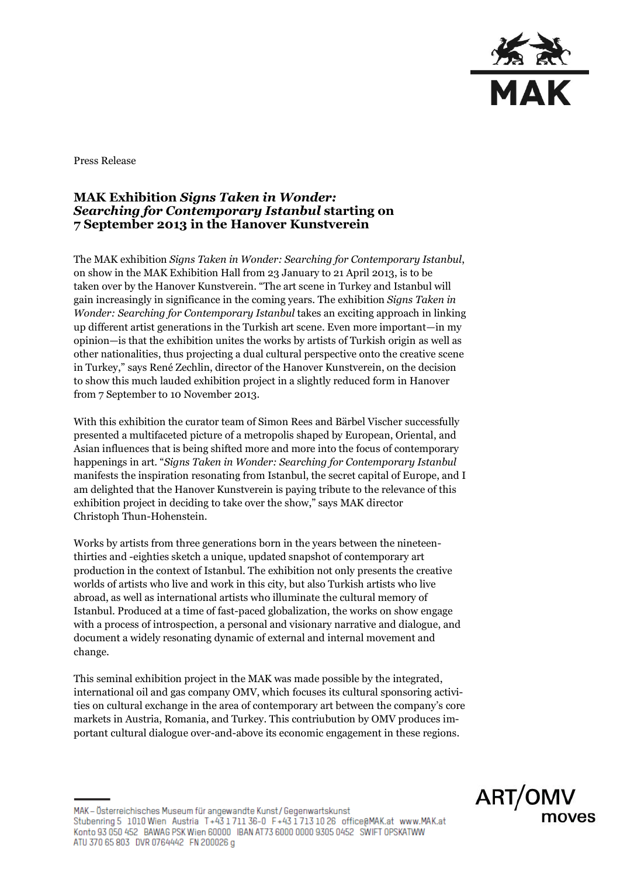

Press Release

## **MAK Exhibition** *Signs Taken in Wonder: Searching for Contemporary Istanbul* **starting on 7 September 2013 in the Hanover Kunstverein**

The MAK exhibition *Signs Taken in Wonder: Searching for Contemporary Istanbul*, on show in the MAK Exhibition Hall from 23 January to 21 April 2013, is to be taken over by the Hanover Kunstverein. "The art scene in Turkey and Istanbul will gain increasingly in significance in the coming years. The exhibition *Signs Taken in Wonder: Searching for Contemporary Istanbul* takes an exciting approach in linking up different artist generations in the Turkish art scene. Even more important—in my opinion—is that the exhibition unites the works by artists of Turkish origin as well as other nationalities, thus projecting a dual cultural perspective onto the creative scene in Turkey," says René Zechlin, director of the Hanover Kunstverein, on the decision to show this much lauded exhibition project in a slightly reduced form in Hanover from 7 September to 10 November 2013.

With this exhibition the curator team of Simon Rees and Bärbel Vischer successfully presented a multifaceted picture of a metropolis shaped by European, Oriental, and Asian influences that is being shifted more and more into the focus of contemporary happenings in art. "*Signs Taken in Wonder: Searching for Contemporary Istanbul* manifests the inspiration resonating from Istanbul, the secret capital of Europe, and I am delighted that the Hanover Kunstverein is paying tribute to the relevance of this exhibition project in deciding to take over the show," says MAK director Christoph Thun-Hohenstein.

Works by artists from three generations born in the years between the nineteenthirties and -eighties sketch a unique, updated snapshot of contemporary art production in the context of Istanbul. The exhibition not only presents the creative worlds of artists who live and work in this city, but also Turkish artists who live abroad, as well as international artists who illuminate the cultural memory of Istanbul. Produced at a time of fast-paced globalization, the works on show engage with a process of introspection, a personal and visionary narrative and dialogue, and document a widely resonating dynamic of external and internal movement and change.

This seminal exhibition project in the MAK was made possible by the integrated, international oil and gas company OMV, which focuses its cultural sponsoring activities on cultural exchange in the area of contemporary art between the company's core markets in Austria, Romania, and Turkey. This contriubution by OMV produces important cultural dialogue over-and-above its economic engagement in these regions.

MAK - Österreichisches Museum für angewandte Kunst/Gegenwartskunst Stubenring 5 1010 Wien Austria T+43 1 711 36-0 F+43 1 713 10 26 office@MAK.at www.MAK.at Konto 93 050 452 BAWAG PSK Wien 60000 IBAN AT73 6000 0000 9305 0452 SWIFT OPSKATWW ATU 370 65 803 DVR 0764442 FN 200026 g